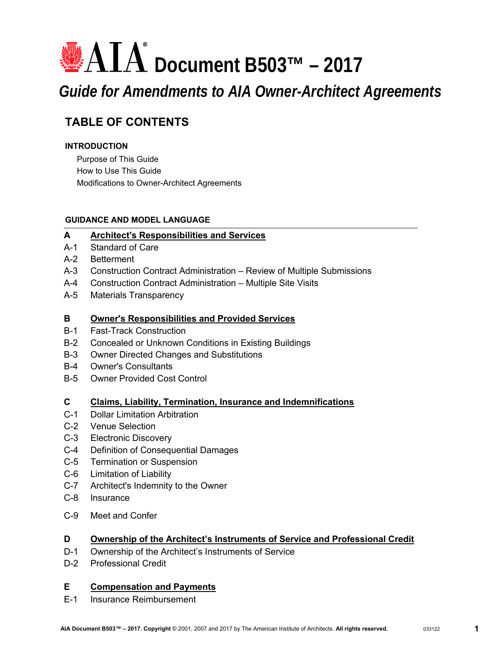# **<sup>■</sup>AIA<sup>®</sup> Document B503™ – 2017** *Guide for Amendments to AIA Owner-Architect Agreements*

# **TABLE OF CONTENTS**

### **INTRODUCTION**

Purpose of This Guide How to Use This Guide Modifications to Owner-Architect Agreements

### **GUIDANCE AND MODEL LANGUAGE**

### **A [Architect's Responsibilities and Services](#page-2-0)**

- A-1 Standard of Care
- A-2 Betterment
- A-3 Construction Contract Administration Review of Multiple Submissions
- A-4 Construction Contract Administration Multiple Site Visits
- A-5 Materials Transparency

### **B [Owner's Responsibilities and Provided Services](#page-6-0)**

- B-1 Fast-Track Construction
- B-2 Concealed or Unknown Conditions in Existing Buildings
- B-3 Owner Directed Changes and Substitutions
- B-4 Owner's Consultants
- B-5 Owner Provided Cost Control

### **C [Claims, Liability, Termination, Insurance and Indemnifications](#page-11-0)**

- C-1 Dollar Limitation Arbitration
- C-2 Venue Selection
- C-3 Electronic Discovery
- C-4 Definition of Consequential Damages
- C-5 Termination or Suspension
- C-6 Limitation of Liability
- C-7 Architect's Indemnity to the Owner
- C-8 Insurance
- C-9 Meet and Confer

### **D [Ownership of the Architect's Instruments of Service and Professional Credit](#page-16-0)**

- D-1 Ownership of the Architect's Instruments of Service
- D-2 Professional Credit

### **E [Compensation and Payments](#page-17-0)**

E-1 Insurance Reimbursement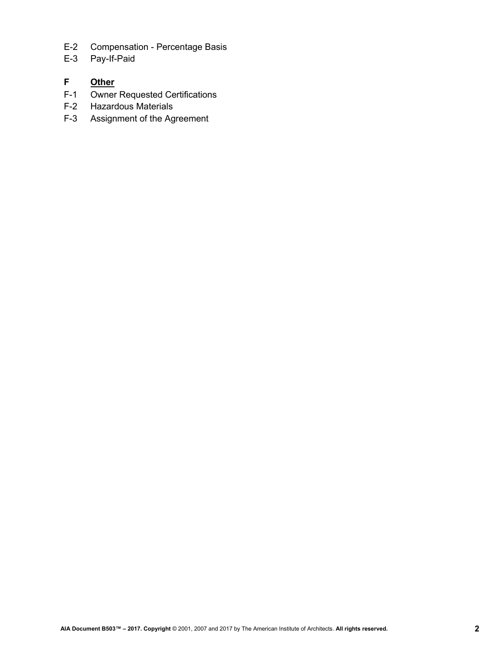- E-2 Compensation Percentage Basis
- E-3 Pay-If-Paid

### **F [Other](#page-19-0)**

- F-1 Owner Requested Certifications
- F-2 Hazardous Materials
- F-3 Assignment of the Agreement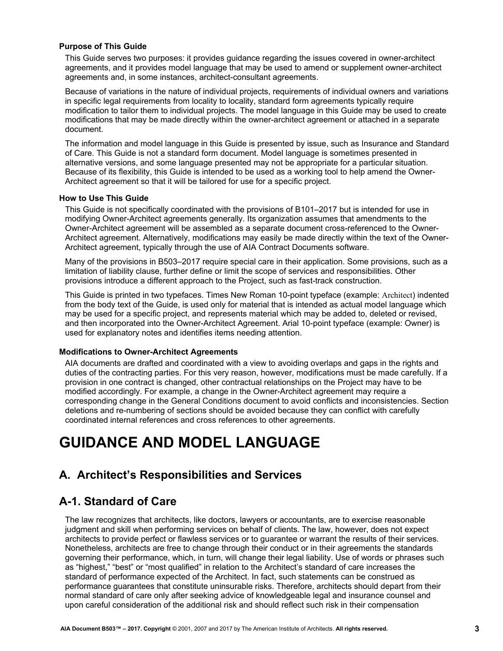#### <span id="page-2-0"></span>**Purpose of This Guide**

This Guide serves two purposes: it provides guidance regarding the issues covered in owner-architect agreements, and it provides model language that may be used to amend or supplement owner-architect agreements and, in some instances, architect-consultant agreements.

Because of variations in the nature of individual projects, requirements of individual owners and variations in specific legal requirements from locality to locality, standard form agreements typically require modification to tailor them to individual projects. The model language in this Guide may be used to create modifications that may be made directly within the owner-architect agreement or attached in a separate document.

The information and model language in this Guide is presented by issue, such as Insurance and Standard of Care. This Guide is not a standard form document. Model language is sometimes presented in alternative versions, and some language presented may not be appropriate for a particular situation. Because of its flexibility, this Guide is intended to be used as a working tool to help amend the Owner-Architect agreement so that it will be tailored for use for a specific project.

#### **How to Use This Guide**

This Guide is not specifically coordinated with the provisions of B101–2017 but is intended for use in modifying Owner-Architect agreements generally. Its organization assumes that amendments to the Owner-Architect agreement will be assembled as a separate document cross-referenced to the Owner-Architect agreement. Alternatively, modifications may easily be made directly within the text of the Owner-Architect agreement, typically through the use of AIA Contract Documents software.

Many of the provisions in B503–2017 require special care in their application. Some provisions, such as a limitation of liability clause, further define or limit the scope of services and responsibilities. Other provisions introduce a different approach to the Project, such as fast-track construction.

This Guide is printed in two typefaces. Times New Roman 10-point typeface (example: Architect) indented from the body text of the Guide, is used only for material that is intended as actual model language which may be used for a specific project, and represents material which may be added to, deleted or revised, and then incorporated into the Owner-Architect Agreement. Arial 10-point typeface (example: Owner) is used for explanatory notes and identifies items needing attention.

#### **Modifications to Owner-Architect Agreements**

AIA documents are drafted and coordinated with a view to avoiding overlaps and gaps in the rights and duties of the contracting parties. For this very reason, however, modifications must be made carefully. If a provision in one contract is changed, other contractual relationships on the Project may have to be modified accordingly. For example, a change in the Owner-Architect agreement may require a corresponding change in the General Conditions document to avoid conflicts and inconsistencies. Section deletions and re-numbering of sections should be avoided because they can conflict with carefully coordinated internal references and cross references to other agreements.

# **GUIDANCE AND MODEL LANGUAGE**

### **A. Architect's Responsibilities and Services**

### **A-1. Standard of Care**

The law recognizes that architects, like doctors, lawyers or accountants, are to exercise reasonable judgment and skill when performing services on behalf of clients. The law, however, does not expect architects to provide perfect or flawless services or to guarantee or warrant the results of their services. Nonetheless, architects are free to change through their conduct or in their agreements the standards governing their performance, which, in turn, will change their legal liability. Use of words or phrases such as "highest," "best" or "most qualified" in relation to the Architect's standard of care increases the standard of performance expected of the Architect. In fact, such statements can be construed as performance guarantees that constitute uninsurable risks. Therefore, architects should depart from their normal standard of care only after seeking advice of knowledgeable legal and insurance counsel and upon careful consideration of the additional risk and should reflect such risk in their compensation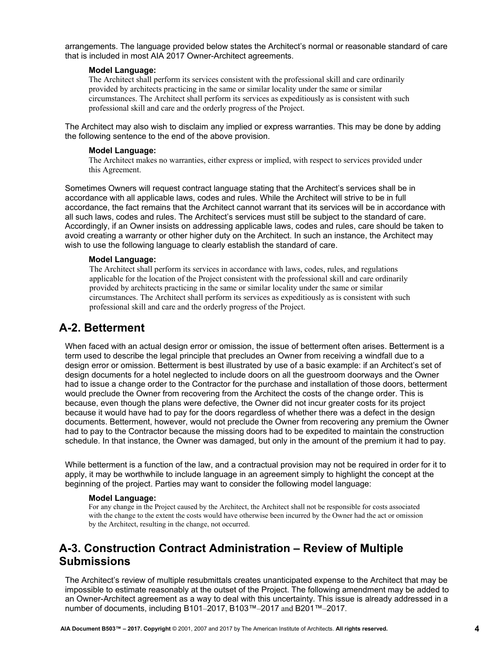arrangements. The language provided below states the Architect's normal or reasonable standard of care that is included in most AIA 2017 Owner-Architect agreements.

#### **Model Language:**

The Architect shall perform its services consistent with the professional skill and care ordinarily provided by architects practicing in the same or similar locality under the same or similar circumstances. The Architect shall perform its services as expeditiously as is consistent with such professional skill and care and the orderly progress of the Project.

The Architect may also wish to disclaim any implied or express warranties. This may be done by adding the following sentence to the end of the above provision.

#### **Model Language:**

The Architect makes no warranties, either express or implied, with respect to services provided under this Agreement.

Sometimes Owners will request contract language stating that the Architect's services shall be in accordance with all applicable laws, codes and rules. While the Architect will strive to be in full accordance, the fact remains that the Architect cannot warrant that its services will be in accordance with all such laws, codes and rules. The Architect's services must still be subject to the standard of care. Accordingly, if an Owner insists on addressing applicable laws, codes and rules, care should be taken to avoid creating a warranty or other higher duty on the Architect. In such an instance, the Architect may wish to use the following language to clearly establish the standard of care.

#### **Model Language:**

The Architect shall perform its services in accordance with laws, codes, rules, and regulations applicable for the location of the Project consistent with the professional skill and care ordinarily provided by architects practicing in the same or similar locality under the same or similar circumstances. The Architect shall perform its services as expeditiously as is consistent with such professional skill and care and the orderly progress of the Project.

### **A-2. Betterment**

When faced with an actual design error or omission, the issue of betterment often arises. Betterment is a term used to describe the legal principle that precludes an Owner from receiving a windfall due to a design error or omission. Betterment is best illustrated by use of a basic example: if an Architect's set of design documents for a hotel neglected to include doors on all the guestroom doorways and the Owner had to issue a change order to the Contractor for the purchase and installation of those doors, betterment would preclude the Owner from recovering from the Architect the costs of the change order. This is because, even though the plans were defective, the Owner did not incur greater costs for its project because it would have had to pay for the doors regardless of whether there was a defect in the design documents. Betterment, however, would not preclude the Owner from recovering any premium the Owner had to pay to the Contractor because the missing doors had to be expedited to maintain the construction schedule. In that instance, the Owner was damaged, but only in the amount of the premium it had to pay.

While betterment is a function of the law, and a contractual provision may not be required in order for it to apply, it may be worthwhile to include language in an agreement simply to highlight the concept at the beginning of the project. Parties may want to consider the following model language:

#### **Model Language:**

For any change in the Project caused by the Architect, the Architect shall not be responsible for costs associated with the change to the extent the costs would have otherwise been incurred by the Owner had the act or omission by the Architect, resulting in the change, not occurred.

# **A-3. Construction Contract Administration – Review of Multiple Submissions**

The Architect's review of multiple resubmittals creates unanticipated expense to the Architect that may be impossible to estimate reasonably at the outset of the Project. The following amendment may be added to an Owner-Architect agreement as a way to deal with this uncertainty. This issue is already addressed in a number of documents, including B101–2017, B103™–2017 and B201™–2017.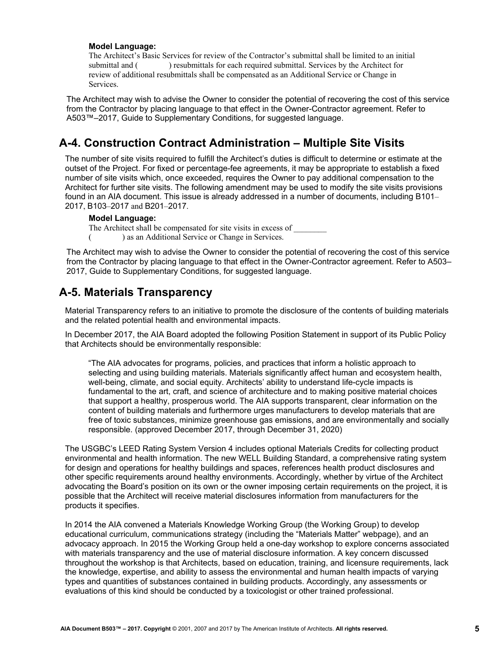The Architect's Basic Services for review of the Contractor's submittal shall be limited to an initial submittal and ( ) resubmittals for each required submittal. Services by the Architect for review of additional resubmittals shall be compensated as an Additional Service or Change in Services.

The Architect may wish to advise the Owner to consider the potential of recovering the cost of this service from the Contractor by placing language to that effect in the Owner-Contractor agreement. Refer to A503™–2017, Guide to Supplementary Conditions, for suggested language.

### **A-4. Construction Contract Administration – Multiple Site Visits**

The number of site visits required to fulfill the Architect's duties is difficult to determine or estimate at the outset of the Project. For fixed or percentage-fee agreements, it may be appropriate to establish a fixed number of site visits which, once exceeded, requires the Owner to pay additional compensation to the Architect for further site visits. The following amendment may be used to modify the site visits provisions found in an AIA document. This issue is already addressed in a number of documents, including B101– 2017, B103–2017 and B201–2017.

#### **Model Language:**

The Architect shall be compensated for site visits in excess of

( ) as an Additional Service or Change in Services.

The Architect may wish to advise the Owner to consider the potential of recovering the cost of this service from the Contractor by placing language to that effect in the Owner-Contractor agreement. Refer to A503– 2017, Guide to Supplementary Conditions, for suggested language.

### **A-5. Materials Transparency**

Material Transparency refers to an initiative to promote the disclosure of the contents of building materials and the related potential health and environmental impacts.

In December 2017, the AIA Board adopted the following Position Statement in support of its Public Policy that Architects should be environmentally responsible:

"The AIA advocates for programs, policies, and practices that inform a holistic approach to selecting and using building materials. Materials significantly affect human and ecosystem health, well-being, climate, and social equity. Architects' ability to understand life-cycle impacts is fundamental to the art, craft, and science of architecture and to making positive material choices that support a healthy, prosperous world. The AIA supports transparent, clear information on the content of building materials and furthermore urges manufacturers to develop materials that are free of toxic substances, minimize greenhouse gas emissions, and are environmentally and socially responsible. (approved December 2017, through December 31, 2020)

The USGBC's LEED Rating System Version 4 includes optional Materials Credits for collecting product environmental and health information. The new WELL Building Standard, a comprehensive rating system for design and operations for healthy buildings and spaces, references health product disclosures and other specific requirements around healthy environments. Accordingly, whether by virtue of the Architect advocating the Board's position on its own or the owner imposing certain requirements on the project, it is possible that the Architect will receive material disclosures information from manufacturers for the products it specifies.

In 2014 the AIA convened a Materials Knowledge Working Group (the Working Group) to develop educational curriculum, communications strategy (including the "Materials Matter" webpage), and an advocacy approach. In 2015 the Working Group held a one-day workshop to explore concerns associated with materials transparency and the use of material disclosure information. A key concern discussed throughout the workshop is that Architects, based on education, training, and licensure requirements, lack the knowledge, expertise, and ability to assess the environmental and human health impacts of varying types and quantities of substances contained in building products. Accordingly, any assessments or evaluations of this kind should be conducted by a toxicologist or other trained professional.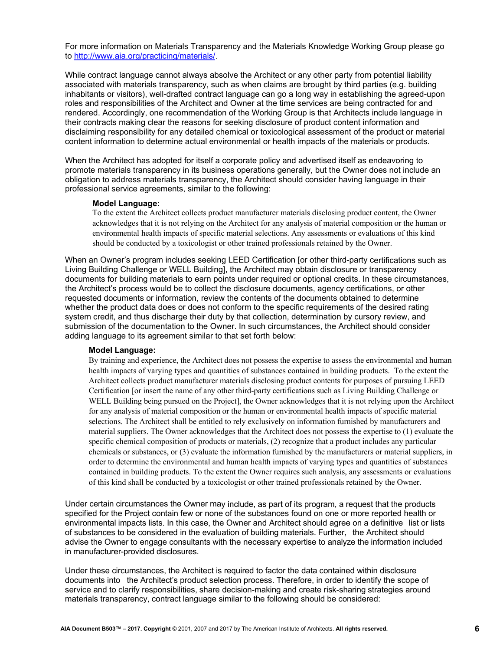For more information on Materials Transparency and the Materials Knowledge Working Group please go to http://www.aia.org/practicing/materials/.

While contract language cannot always absolve the Architect or any other party from potential liability associated with materials transparency, such as when claims are brought by third parties (e.g. building inhabitants or visitors), well-drafted contract language can go a long way in establishing the agreed-upon roles and responsibilities of the Architect and Owner at the time services are being contracted for and rendered. Accordingly, one recommendation of the Working Group is that Architects include language in their contracts making clear the reasons for seeking disclosure of product content information and disclaiming responsibility for any detailed chemical or toxicological assessment of the product or material content information to determine actual environmental or health impacts of the materials or products.

When the Architect has adopted for itself a corporate policy and advertised itself as endeavoring to promote materials transparency in its business operations generally, but the Owner does not include an obligation to address materials transparency, the Architect should consider having language in their professional service agreements, similar to the following:

#### **Model Language:**

To the extent the Architect collects product manufacturer materials disclosing product content, the Owner acknowledges that it is not relying on the Architect for any analysis of material composition or the human or environmental health impacts of specific material selections. Any assessments or evaluations of this kind should be conducted by a toxicologist or other trained professionals retained by the Owner.

When an Owner's program includes seeking LEED Certification [or other third-party certifications such as Living Building Challenge or WELL Building], the Architect may obtain disclosure or transparency documents for building materials to earn points under required or optional credits. In these circumstances, the Architect's process would be to collect the disclosure documents, agency certifications, or other requested documents or information, review the contents of the documents obtained to determine whether the product data does or does not conform to the specific requirements of the desired rating system credit, and thus discharge their duty by that collection, determination by cursory review, and submission of the documentation to the Owner. In such circumstances, the Architect should consider adding language to its agreement similar to that set forth below:

#### **Model Language:**

By training and experience, the Architect does not possess the expertise to assess the environmental and human health impacts of varying types and quantities of substances contained in building products. To the extent the Architect collects product manufacturer materials disclosing product contents for purposes of pursuing LEED Certification [or insert the name of any other third-party certifications such as Living Building Challenge or WELL Building being pursued on the Project], the Owner acknowledges that it is not relying upon the Architect for any analysis of material composition or the human or environmental health impacts of specific material selections. The Architect shall be entitled to rely exclusively on information furnished by manufacturers and material suppliers. The Owner acknowledges that the Architect does not possess the expertise to (1) evaluate the specific chemical composition of products or materials, (2) recognize that a product includes any particular chemicals or substances, or (3) evaluate the information furnished by the manufacturers or material suppliers, in order to determine the environmental and human health impacts of varying types and quantities of substances contained in building products. To the extent the Owner requires such analysis, any assessments or evaluations of this kind shall be conducted by a toxicologist or other trained professionals retained by the Owner.

Under certain circumstances the Owner may include, as part of its program, a request that the products specified for the Project contain few or none of the substances found on one or more reported health or environmental impacts lists. In this case, the Owner and Architect should agree on a definitive list or lists of substances to be considered in the evaluation of building materials. Further, the Architect should advise the Owner to engage consultants with the necessary expertise to analyze the information included in manufacturer-provided disclosures.

Under these circumstances, the Architect is required to factor the data contained within disclosure documents into the Architect's product selection process. Therefore, in order to identify the scope of service and to clarify responsibilities, share decision-making and create risk-sharing strategies around materials transparency, contract language similar to the following should be considered: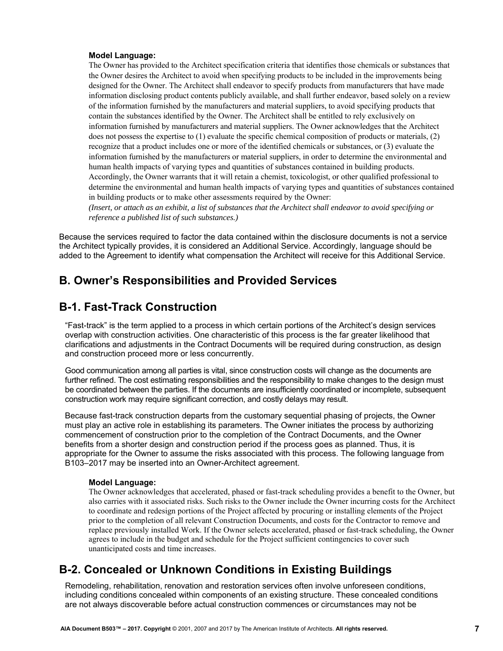<span id="page-6-0"></span>The Owner has provided to the Architect specification criteria that identifies those chemicals or substances that the Owner desires the Architect to avoid when specifying products to be included in the improvements being designed for the Owner. The Architect shall endeavor to specify products from manufacturers that have made information disclosing product contents publicly available, and shall further endeavor, based solely on a review of the information furnished by the manufacturers and material suppliers, to avoid specifying products that contain the substances identified by the Owner. The Architect shall be entitled to rely exclusively on information furnished by manufacturers and material suppliers. The Owner acknowledges that the Architect does not possess the expertise to (1) evaluate the specific chemical composition of products or materials, (2) recognize that a product includes one or more of the identified chemicals or substances, or (3) evaluate the information furnished by the manufacturers or material suppliers, in order to determine the environmental and human health impacts of varying types and quantities of substances contained in building products. Accordingly, the Owner warrants that it will retain a chemist, toxicologist, or other qualified professional to determine the environmental and human health impacts of varying types and quantities of substances contained in building products or to make other assessments required by the Owner:

*(Insert, or attach as an exhibit, a list of substances that the Architect shall endeavor to avoid specifying or reference a published list of such substances.)*

Because the services required to factor the data contained within the disclosure documents is not a service the Architect typically provides, it is considered an Additional Service. Accordingly, language should be added to the Agreement to identify what compensation the Architect will receive for this Additional Service.

### **B. Owner's Responsibilities and Provided Services**

### **B-1. Fast-Track Construction**

"Fast-track" is the term applied to a process in which certain portions of the Architect's design services overlap with construction activities. One characteristic of this process is the far greater likelihood that clarifications and adjustments in the Contract Documents will be required during construction, as design and construction proceed more or less concurrently.

Good communication among all parties is vital, since construction costs will change as the documents are further refined. The cost estimating responsibilities and the responsibility to make changes to the design must be coordinated between the parties. If the documents are insufficiently coordinated or incomplete, subsequent construction work may require significant correction, and costly delays may result.

Because fast-track construction departs from the customary sequential phasing of projects, the Owner must play an active role in establishing its parameters. The Owner initiates the process by authorizing commencement of construction prior to the completion of the Contract Documents, and the Owner benefits from a shorter design and construction period if the process goes as planned. Thus, it is appropriate for the Owner to assume the risks associated with this process. The following language from B103–2017 may be inserted into an Owner-Architect agreement.

#### **Model Language:**

The Owner acknowledges that accelerated, phased or fast-track scheduling provides a benefit to the Owner, but also carries with it associated risks. Such risks to the Owner include the Owner incurring costs for the Architect to coordinate and redesign portions of the Project affected by procuring or installing elements of the Project prior to the completion of all relevant Construction Documents, and costs for the Contractor to remove and replace previously installed Work. If the Owner selects accelerated, phased or fast-track scheduling, the Owner agrees to include in the budget and schedule for the Project sufficient contingencies to cover such unanticipated costs and time increases.

### **B-2. Concealed or Unknown Conditions in Existing Buildings**

Remodeling, rehabilitation, renovation and restoration services often involve unforeseen conditions, including conditions concealed within components of an existing structure. These concealed conditions are not always discoverable before actual construction commences or circumstances may not be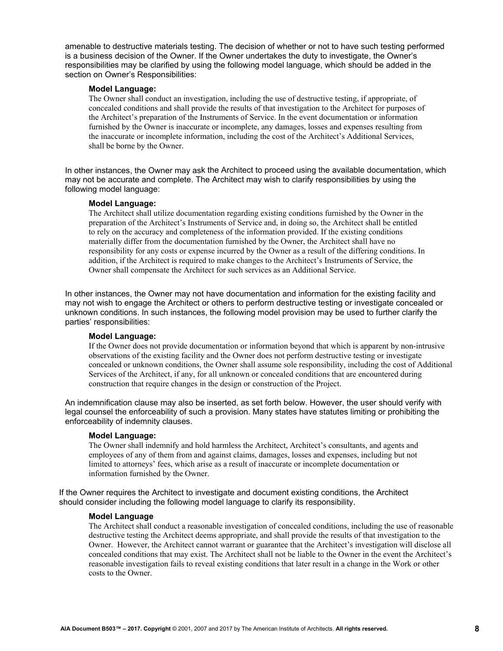amenable to destructive materials testing. The decision of whether or not to have such testing performed is a business decision of the Owner. If the Owner undertakes the duty to investigate, the Owner's responsibilities may be clarified by using the following model language, which should be added in the section on Owner's Responsibilities:

#### **Model Language:**

The Owner shall conduct an investigation, including the use of destructive testing, if appropriate, of concealed conditions and shall provide the results of that investigation to the Architect for purposes of the Architect's preparation of the Instruments of Service. In the event documentation or information furnished by the Owner is inaccurate or incomplete, any damages, losses and expenses resulting from the inaccurate or incomplete information, including the cost of the Architect's Additional Services, shall be borne by the Owner.

In other instances, the Owner may ask the Architect to proceed using the available documentation, which may not be accurate and complete. The Architect may wish to clarify responsibilities by using the following model language:

#### **Model Language:**

The Architect shall utilize documentation regarding existing conditions furnished by the Owner in the preparation of the Architect's Instruments of Service and, in doing so, the Architect shall be entitled to rely on the accuracy and completeness of the information provided. If the existing conditions materially differ from the documentation furnished by the Owner, the Architect shall have no responsibility for any costs or expense incurred by the Owner as a result of the differing conditions. In addition, if the Architect is required to make changes to the Architect's Instruments of Service, the Owner shall compensate the Architect for such services as an Additional Service.

In other instances, the Owner may not have documentation and information for the existing facility and may not wish to engage the Architect or others to perform destructive testing or investigate concealed or unknown conditions. In such instances, the following model provision may be used to further clarify the parties' responsibilities:

#### **Model Language:**

If the Owner does not provide documentation or information beyond that which is apparent by non-intrusive observations of the existing facility and the Owner does not perform destructive testing or investigate concealed or unknown conditions, the Owner shall assume sole responsibility, including the cost of Additional Services of the Architect, if any, for all unknown or concealed conditions that are encountered during construction that require changes in the design or construction of the Project.

An indemnification clause may also be inserted, as set forth below. However, the user should verify with legal counsel the enforceability of such a provision. Many states have statutes limiting or prohibiting the enforceability of indemnity clauses.

#### **Model Language:**

The Owner shall indemnify and hold harmless the Architect, Architect's consultants, and agents and employees of any of them from and against claims, damages, losses and expenses, including but not limited to attorneys' fees, which arise as a result of inaccurate or incomplete documentation or information furnished by the Owner.

If the Owner requires the Architect to investigate and document existing conditions, the Architect should consider including the following model language to clarify its responsibility.

#### **Model Language**

The Architect shall conduct a reasonable investigation of concealed conditions, including the use of reasonable destructive testing the Architect deems appropriate, and shall provide the results of that investigation to the Owner. However, the Architect cannot warrant or guarantee that the Architect's investigation will disclose all concealed conditions that may exist. The Architect shall not be liable to the Owner in the event the Architect's reasonable investigation fails to reveal existing conditions that later result in a change in the Work or other costs to the Owner.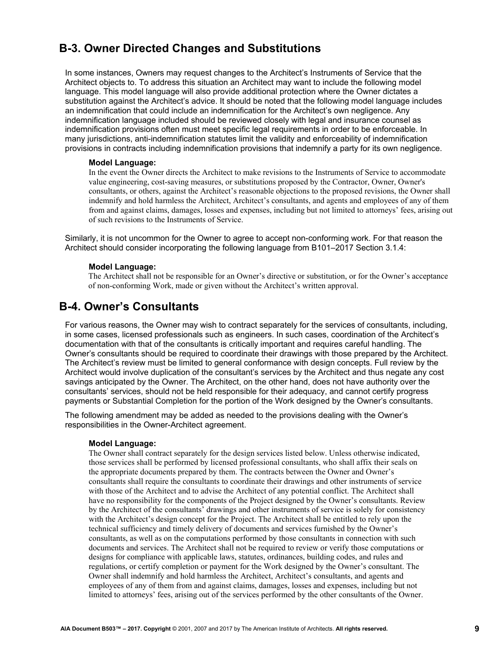# **B-3. Owner Directed Changes and Substitutions**

In some instances, Owners may request changes to the Architect's Instruments of Service that the Architect objects to. To address this situation an Architect may want to include the following model language. This model language will also provide additional protection where the Owner dictates a substitution against the Architect's advice. It should be noted that the following model language includes an indemnification that could include an indemnification for the Architect's own negligence. Any indemnification language included should be reviewed closely with legal and insurance counsel as indemnification provisions often must meet specific legal requirements in order to be enforceable. In many jurisdictions, anti-indemnification statutes limit the validity and enforceability of indemnification provisions in contracts including indemnification provisions that indemnify a party for its own negligence.

#### **Model Language:**

In the event the Owner directs the Architect to make revisions to the Instruments of Service to accommodate value engineering, cost-saving measures, or substitutions proposed by the Contractor, Owner, Owner's consultants, or others, against the Architect's reasonable objections to the proposed revisions, the Owner shall indemnify and hold harmless the Architect, Architect's consultants, and agents and employees of any of them from and against claims, damages, losses and expenses, including but not limited to attorneys' fees, arising out of such revisions to the Instruments of Service.

Similarly, it is not uncommon for the Owner to agree to accept non-conforming work. For that reason the Architect should consider incorporating the following language from B101–2017 Section 3.1.4:

#### **Model Language:**

The Architect shall not be responsible for an Owner's directive or substitution, or for the Owner's acceptance of non-conforming Work, made or given without the Architect's written approval.

### **B-4. Owner's Consultants**

For various reasons, the Owner may wish to contract separately for the services of consultants, including, in some cases, licensed professionals such as engineers. In such cases, coordination of the Architect's documentation with that of the consultants is critically important and requires careful handling. The Owner's consultants should be required to coordinate their drawings with those prepared by the Architect. The Architect's review must be limited to general conformance with design concepts. Full review by the Architect would involve duplication of the consultant's services by the Architect and thus negate any cost savings anticipated by the Owner. The Architect, on the other hand, does not have authority over the consultants' services, should not be held responsible for their adequacy, and cannot certify progress payments or Substantial Completion for the portion of the Work designed by the Owner's consultants.

The following amendment may be added as needed to the provisions dealing with the Owner's responsibilities in the Owner-Architect agreement.

#### **Model Language:**

The Owner shall contract separately for the design services listed below. Unless otherwise indicated, those services shall be performed by licensed professional consultants, who shall affix their seals on the appropriate documents prepared by them. The contracts between the Owner and Owner's consultants shall require the consultants to coordinate their drawings and other instruments of service with those of the Architect and to advise the Architect of any potential conflict. The Architect shall have no responsibility for the components of the Project designed by the Owner's consultants. Review by the Architect of the consultants' drawings and other instruments of service is solely for consistency with the Architect's design concept for the Project. The Architect shall be entitled to rely upon the technical sufficiency and timely delivery of documents and services furnished by the Owner's consultants, as well as on the computations performed by those consultants in connection with such documents and services. The Architect shall not be required to review or verify those computations or designs for compliance with applicable laws, statutes, ordinances, building codes, and rules and regulations, or certify completion or payment for the Work designed by the Owner's consultant. The Owner shall indemnify and hold harmless the Architect, Architect's consultants, and agents and employees of any of them from and against claims, damages, losses and expenses, including but not limited to attorneys' fees, arising out of the services performed by the other consultants of the Owner.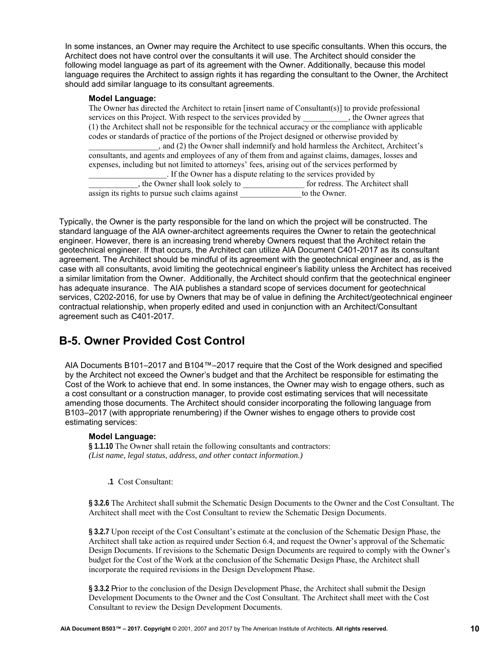In some instances, an Owner may require the Architect to use specific consultants. When this occurs, the Architect does not have control over the consultants it will use. The Architect should consider the following model language as part of its agreement with the Owner. Additionally, because this model language requires the Architect to assign rights it has regarding the consultant to the Owner, the Architect should add similar language to its consultant agreements.

#### **Model Language:**

The Owner has directed the Architect to retain [insert name of Consultant(s)] to provide professional services on this Project. With respect to the services provided by \_\_\_\_\_\_\_\_\_\_\_, the Owner agrees that (1) the Architect shall not be responsible for the technical accuracy or the compliance with applicable codes or standards of practice of the portions of the Project designed or otherwise provided by \_\_\_\_\_\_\_\_\_\_\_\_\_\_\_\_\_, and (2) the Owner shall indemnify and hold harmless the Architect, Architect's consultants, and agents and employees of any of them from and against claims, damages, losses and expenses, including but not limited to attorneys' fees, arising out of the services performed by \_\_\_\_\_\_\_\_\_\_\_\_\_\_\_\_\_\_\_. If the Owner has a dispute relating to the services provided by  $\frac{1}{\sqrt{2}}$ , the Owner shall look solely to  $\frac{1}{\sqrt{2}}$  for redress. The Architect shall assign its rights to pursue such claims against to the Owner.

Typically, the Owner is the party responsible for the land on which the project will be constructed. The standard language of the AIA owner-architect agreements requires the Owner to retain the geotechnical engineer. However, there is an increasing trend whereby Owners request that the Architect retain the geotechnical engineer. If that occurs, the Architect can utilize AIA Document C401-2017 as its consultant agreement. The Architect should be mindful of its agreement with the geotechnical engineer and, as is the case with all consultants, avoid limiting the geotechnical engineer's liability unless the Architect has received a similar limitation from the Owner. Additionally, the Architect should confirm that the geotechnical engineer has adequate insurance. The AIA publishes a standard scope of services document for geotechnical services, C202-2016, for use by Owners that may be of value in defining the Architect/geotechnical engineer contractual relationship, when properly edited and used in conjunction with an Architect/Consultant agreement such as C401-2017.

### **B-5. Owner Provided Cost Control**

AIA Documents B101–2017 and B104™–2017 require that the Cost of the Work designed and specified by the Architect not exceed the Owner's budget and that the Architect be responsible for estimating the Cost of the Work to achieve that end. In some instances, the Owner may wish to engage others, such as a cost consultant or a construction manager, to provide cost estimating services that will necessitate amending those documents. The Architect should consider incorporating the following language from B103–2017 (with appropriate renumbering) if the Owner wishes to engage others to provide cost estimating services:

#### **Model Language:**

**§ 1.1.10** The Owner shall retain the following consultants and contractors: *(List name, legal status, address, and other contact information.)*

#### **.1** Cost Consultant:

**§ 3.2.6** The Architect shall submit the Schematic Design Documents to the Owner and the Cost Consultant. The Architect shall meet with the Cost Consultant to review the Schematic Design Documents.

**§ 3.2.7** Upon receipt of the Cost Consultant's estimate at the conclusion of the Schematic Design Phase, the Architect shall take action as required under Section 6.4, and request the Owner's approval of the Schematic Design Documents. If revisions to the Schematic Design Documents are required to comply with the Owner's budget for the Cost of the Work at the conclusion of the Schematic Design Phase, the Architect shall incorporate the required revisions in the Design Development Phase.

**§ 3.3.2** Prior to the conclusion of the Design Development Phase, the Architect shall submit the Design Development Documents to the Owner and the Cost Consultant. The Architect shall meet with the Cost Consultant to review the Design Development Documents.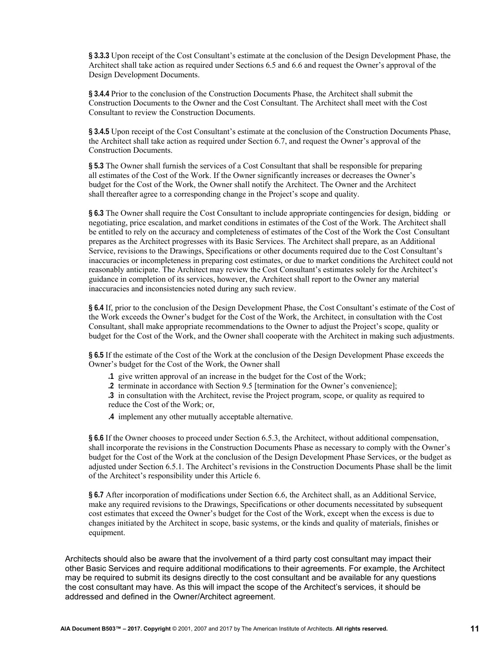**§ 3.3.3** Upon receipt of the Cost Consultant's estimate at the conclusion of the Design Development Phase, the Architect shall take action as required under Sections 6.5 and 6.6 and request the Owner's approval of the Design Development Documents.

**§ 3.4.4** Prior to the conclusion of the Construction Documents Phase, the Architect shall submit the Construction Documents to the Owner and the Cost Consultant. The Architect shall meet with the Cost Consultant to review the Construction Documents.

**§ 3.4.5** Upon receipt of the Cost Consultant's estimate at the conclusion of the Construction Documents Phase, the Architect shall take action as required under Section 6.7, and request the Owner's approval of the Construction Documents.

**§ 5.3** The Owner shall furnish the services of a Cost Consultant that shall be responsible for preparing all estimates of the Cost of the Work. If the Owner significantly increases or decreases the Owner's budget for the Cost of the Work, the Owner shall notify the Architect. The Owner and the Architect shall thereafter agree to a corresponding change in the Project's scope and quality.

**§ 6.3** The Owner shall require the Cost Consultant to include appropriate contingencies for design, bidding or negotiating, price escalation, and market conditions in estimates of the Cost of the Work. The Architect shall be entitled to rely on the accuracy and completeness of estimates of the Cost of the Work the Cost Consultant prepares as the Architect progresses with its Basic Services. The Architect shall prepare, as an Additional Service, revisions to the Drawings, Specifications or other documents required due to the Cost Consultant's inaccuracies or incompleteness in preparing cost estimates, or due to market conditions the Architect could not reasonably anticipate. The Architect may review the Cost Consultant's estimates solely for the Architect's guidance in completion of its services, however, the Architect shall report to the Owner any material inaccuracies and inconsistencies noted during any such review.

**§ 6.4** If, prior to the conclusion of the Design Development Phase, the Cost Consultant's estimate of the Cost of the Work exceeds the Owner's budget for the Cost of the Work, the Architect, in consultation with the Cost Consultant, shall make appropriate recommendations to the Owner to adjust the Project's scope, quality or budget for the Cost of the Work, and the Owner shall cooperate with the Architect in making such adjustments.

**§ 6.5** If the estimate of the Cost of the Work at the conclusion of the Design Development Phase exceeds the Owner's budget for the Cost of the Work, the Owner shall

- **.1** give written approval of an increase in the budget for the Cost of the Work;
- **.2** terminate in accordance with Section 9.5 [termination for the Owner's convenience];

 **.3** in consultation with the Architect, revise the Project program, scope, or quality as required to reduce the Cost of the Work; or,

 **.4** implement any other mutually acceptable alternative.

**§ 6.6** If the Owner chooses to proceed under Section 6.5.3, the Architect, without additional compensation, shall incorporate the revisions in the Construction Documents Phase as necessary to comply with the Owner's budget for the Cost of the Work at the conclusion of the Design Development Phase Services, or the budget as adjusted under Section 6.5.1. The Architect's revisions in the Construction Documents Phase shall be the limit of the Architect's responsibility under this Article 6.

**§ 6.7** After incorporation of modifications under Section 6.6, the Architect shall, as an Additional Service, make any required revisions to the Drawings, Specifications or other documents necessitated by subsequent cost estimates that exceed the Owner's budget for the Cost of the Work, except when the excess is due to changes initiated by the Architect in scope, basic systems, or the kinds and quality of materials, finishes or equipment.

Architects should also be aware that the involvement of a third party cost consultant may impact their other Basic Services and require additional modifications to their agreements. For example, the Architect may be required to submit its designs directly to the cost consultant and be available for any questions the cost consultant may have. As this will impact the scope of the Architect's services, it should be addressed and defined in the Owner/Architect agreement.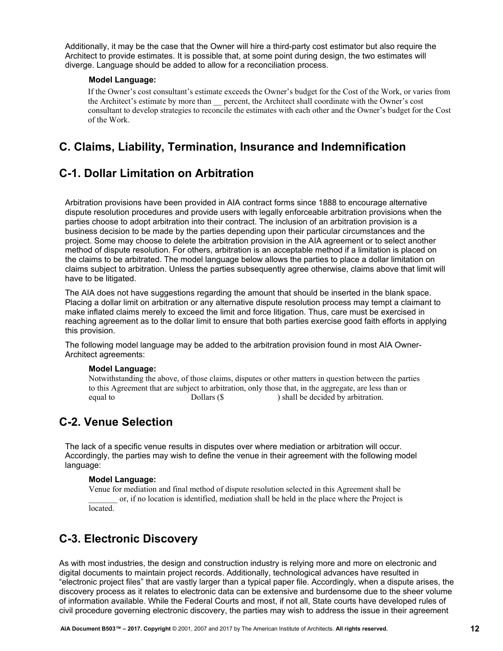<span id="page-11-0"></span>Additionally, it may be the case that the Owner will hire a third-party cost estimator but also require the Architect to provide estimates. It is possible that, at some point during design, the two estimates will diverge. Language should be added to allow for a reconciliation process.

#### **Model Language:**

If the Owner's cost consultant's estimate exceeds the Owner's budget for the Cost of the Work, or varies from the Architect's estimate by more than \_\_ percent, the Architect shall coordinate with the Owner's cost consultant to develop strategies to reconcile the estimates with each other and the Owner's budget for the Cost of the Work.

## **C. Claims, Liability, Termination, Insurance and Indemnification**

# **C-1. Dollar Limitation on Arbitration**

Arbitration provisions have been provided in AIA contract forms since 1888 to encourage alternative dispute resolution procedures and provide users with legally enforceable arbitration provisions when the parties choose to adopt arbitration into their contract. The inclusion of an arbitration provision is a business decision to be made by the parties depending upon their particular circumstances and the project. Some may choose to delete the arbitration provision in the AIA agreement or to select another method of dispute resolution. For others, arbitration is an acceptable method if a limitation is placed on the claims to be arbitrated. The model language below allows the parties to place a dollar limitation on claims subject to arbitration. Unless the parties subsequently agree otherwise, claims above that limit will have to be litigated.

The AIA does not have suggestions regarding the amount that should be inserted in the blank space. Placing a dollar limit on arbitration or any alternative dispute resolution process may tempt a claimant to make inflated claims merely to exceed the limit and force litigation. Thus, care must be exercised in reaching agreement as to the dollar limit to ensure that both parties exercise good faith efforts in applying this provision.

The following model language may be added to the arbitration provision found in most AIA Owner-Architect agreements:

#### **Model Language:**

Notwithstanding the above, of those claims, disputes or other matters in question between the parties to this Agreement that are subject to arbitration, only those that, in the aggregate, are less than or equal to Dollars (\$ ) shall be decided by arbitration.

### **C-2. Venue Selection**

The lack of a specific venue results in disputes over where mediation or arbitration will occur. Accordingly, the parties may wish to define the venue in their agreement with the following model language:

#### **Model Language:**

Venue for mediation and final method of dispute resolution selected in this Agreement shall be \_\_\_\_\_\_\_ or, if no location is identified, mediation shall be held in the place where the Project is located.

# **C-3. Electronic Discovery**

As with most industries, the design and construction industry is relying more and more on electronic and digital documents to maintain project records. Additionally, technological advances have resulted in "electronic project files" that are vastly larger than a typical paper file. Accordingly, when a dispute arises, the discovery process as it relates to electronic data can be extensive and burdensome due to the sheer volume of information available. While the Federal Courts and most, if not all, State courts have developed rules of civil procedure governing electronic discovery, the parties may wish to address the issue in their agreement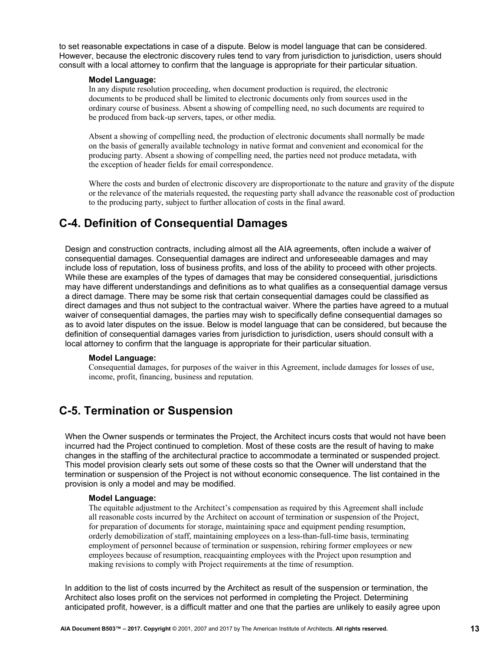to set reasonable expectations in case of a dispute. Below is model language that can be considered. However, because the electronic discovery rules tend to vary from jurisdiction to jurisdiction, users should consult with a local attorney to confirm that the language is appropriate for their particular situation.

#### **Model Language:**

In any dispute resolution proceeding, when document production is required, the electronic documents to be produced shall be limited to electronic documents only from sources used in the ordinary course of business. Absent a showing of compelling need, no such documents are required to be produced from back-up servers, tapes, or other media.

Absent a showing of compelling need, the production of electronic documents shall normally be made on the basis of generally available technology in native format and convenient and economical for the producing party. Absent a showing of compelling need, the parties need not produce metadata, with the exception of header fields for email correspondence.

Where the costs and burden of electronic discovery are disproportionate to the nature and gravity of the dispute or the relevance of the materials requested, the requesting party shall advance the reasonable cost of production to the producing party, subject to further allocation of costs in the final award.

### **C-4. Definition of Consequential Damages**

Design and construction contracts, including almost all the AIA agreements, often include a waiver of consequential damages. Consequential damages are indirect and unforeseeable damages and may include loss of reputation, loss of business profits, and loss of the ability to proceed with other projects. While these are examples of the types of damages that may be considered consequential, jurisdictions may have different understandings and definitions as to what qualifies as a consequential damage versus a direct damage. There may be some risk that certain consequential damages could be classified as direct damages and thus not subject to the contractual waiver. Where the parties have agreed to a mutual waiver of consequential damages, the parties may wish to specifically define consequential damages so as to avoid later disputes on the issue. Below is model language that can be considered, but because the definition of consequential damages varies from jurisdiction to jurisdiction, users should consult with a local attorney to confirm that the language is appropriate for their particular situation.

#### **Model Language:**

Consequential damages, for purposes of the waiver in this Agreement, include damages for losses of use, income, profit, financing, business and reputation.

### **C-5. Termination or Suspension**

When the Owner suspends or terminates the Project, the Architect incurs costs that would not have been incurred had the Project continued to completion. Most of these costs are the result of having to make changes in the staffing of the architectural practice to accommodate a terminated or suspended project. This model provision clearly sets out some of these costs so that the Owner will understand that the termination or suspension of the Project is not without economic consequence. The list contained in the provision is only a model and may be modified.

#### **Model Language:**

The equitable adjustment to the Architect's compensation as required by this Agreement shall include all reasonable costs incurred by the Architect on account of termination or suspension of the Project, for preparation of documents for storage, maintaining space and equipment pending resumption, orderly demobilization of staff, maintaining employees on a less-than-full-time basis, terminating employment of personnel because of termination or suspension, rehiring former employees or new employees because of resumption, reacquainting employees with the Project upon resumption and making revisions to comply with Project requirements at the time of resumption.

In addition to the list of costs incurred by the Architect as result of the suspension or termination, the Architect also loses profit on the services not performed in completing the Project. Determining anticipated profit, however, is a difficult matter and one that the parties are unlikely to easily agree upon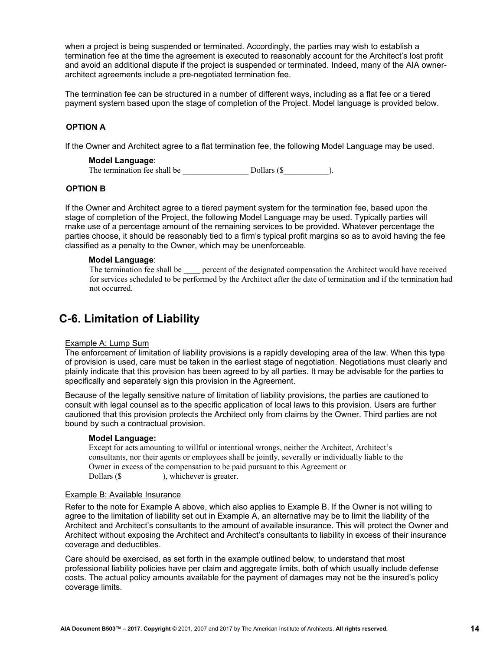when a project is being suspended or terminated. Accordingly, the parties may wish to establish a termination fee at the time the agreement is executed to reasonably account for the Architect's lost profit and avoid an additional dispute if the project is suspended or terminated. Indeed, many of the AIA ownerarchitect agreements include a pre-negotiated termination fee.

The termination fee can be structured in a number of different ways, including as a flat fee or a tiered payment system based upon the stage of completion of the Project. Model language is provided below.

#### **OPTION A**

If the Owner and Architect agree to a flat termination fee, the following Model Language may be used.

#### **Model Language**:

The termination fee shall be  $\qquad \qquad$  Dollars (\$  $\qquad \qquad$  ).

#### **OPTION B**

If the Owner and Architect agree to a tiered payment system for the termination fee, based upon the stage of completion of the Project, the following Model Language may be used. Typically parties will make use of a percentage amount of the remaining services to be provided. Whatever percentage the parties choose, it should be reasonably tied to a firm's typical profit margins so as to avoid having the fee classified as a penalty to the Owner, which may be unenforceable.

#### **Model Language**:

The termination fee shall be \_\_\_\_ percent of the designated compensation the Architect would have received for services scheduled to be performed by the Architect after the date of termination and if the termination had not occurred.

# **C-6. Limitation of Liability**

#### Example A: Lump Sum

The enforcement of limitation of liability provisions is a rapidly developing area of the law. When this type of provision is used, care must be taken in the earliest stage of negotiation. Negotiations must clearly and plainly indicate that this provision has been agreed to by all parties. It may be advisable for the parties to specifically and separately sign this provision in the Agreement.

Because of the legally sensitive nature of limitation of liability provisions, the parties are cautioned to consult with legal counsel as to the specific application of local laws to this provision. Users are further cautioned that this provision protects the Architect only from claims by the Owner. Third parties are not bound by such a contractual provision.

#### **Model Language:**

Except for acts amounting to willful or intentional wrongs, neither the Architect, Architect's consultants, nor their agents or employees shall be jointly, severally or individually liable to the Owner in excess of the compensation to be paid pursuant to this Agreement or Dollars (\$ ), whichever is greater.

#### Example B: Available Insurance

Refer to the note for Example A above, which also applies to Example B. If the Owner is not willing to agree to the limitation of liability set out in Example A, an alternative may be to limit the liability of the Architect and Architect's consultants to the amount of available insurance. This will protect the Owner and Architect without exposing the Architect and Architect's consultants to liability in excess of their insurance coverage and deductibles.

Care should be exercised, as set forth in the example outlined below, to understand that most professional liability policies have per claim and aggregate limits, both of which usually include defense costs. The actual policy amounts available for the payment of damages may not be the insured's policy coverage limits.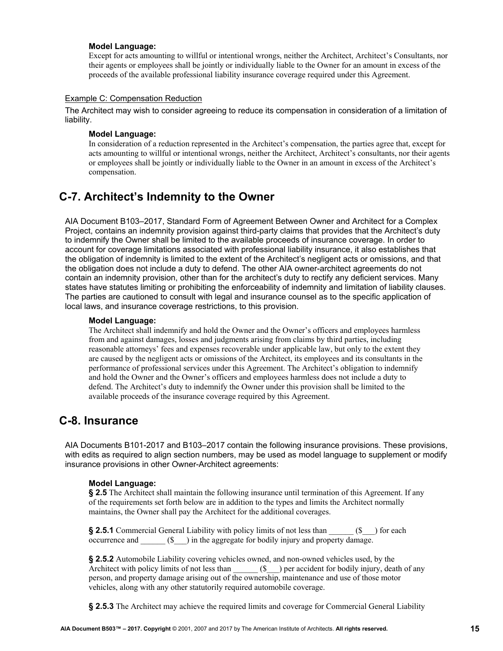Except for acts amounting to willful or intentional wrongs, neither the Architect, Architect's Consultants, nor their agents or employees shall be jointly or individually liable to the Owner for an amount in excess of the proceeds of the available professional liability insurance coverage required under this Agreement.

#### Example C: Compensation Reduction

The Architect may wish to consider agreeing to reduce its compensation in consideration of a limitation of liability.

#### **Model Language:**

In consideration of a reduction represented in the Architect's compensation, the parties agree that, except for acts amounting to willful or intentional wrongs, neither the Architect, Architect's consultants, nor their agents or employees shall be jointly or individually liable to the Owner in an amount in excess of the Architect's compensation.

### **C-7. Architect's Indemnity to the Owner**

AIA Document B103–2017, Standard Form of Agreement Between Owner and Architect for a Complex Project, contains an indemnity provision against third-party claims that provides that the Architect's duty to indemnify the Owner shall be limited to the available proceeds of insurance coverage. In order to account for coverage limitations associated with professional liability insurance, it also establishes that the obligation of indemnity is limited to the extent of the Architect's negligent acts or omissions, and that the obligation does not include a duty to defend. The other AIA owner-architect agreements do not contain an indemnity provision, other than for the architect's duty to rectify any deficient services. Many states have statutes limiting or prohibiting the enforceability of indemnity and limitation of liability clauses. The parties are cautioned to consult with legal and insurance counsel as to the specific application of local laws, and insurance coverage restrictions, to this provision.

#### **Model Language:**

The Architect shall indemnify and hold the Owner and the Owner's officers and employees harmless from and against damages, losses and judgments arising from claims by third parties, including reasonable attorneys' fees and expenses recoverable under applicable law, but only to the extent they are caused by the negligent acts or omissions of the Architect, its employees and its consultants in the performance of professional services under this Agreement. The Architect's obligation to indemnify and hold the Owner and the Owner's officers and employees harmless does not include a duty to defend. The Architect's duty to indemnify the Owner under this provision shall be limited to the available proceeds of the insurance coverage required by this Agreement.

### **C-8. Insurance**

AIA Documents B101-2017 and B103–2017 contain the following insurance provisions. These provisions, with edits as required to align section numbers, may be used as model language to supplement or modify insurance provisions in other Owner-Architect agreements:

#### **Model Language:**

**§ 2.5** The Architect shall maintain the following insurance until termination of this Agreement. If any of the requirements set forth below are in addition to the types and limits the Architect normally maintains, the Owner shall pay the Architect for the additional coverages.

**§ 2.5.1** Commercial General Liability with policy limits of not less than \_\_\_\_\_\_ (\$\_\_\_) for each occurrence and  $(\text{\$})$  in the aggregate for bodily injury and property damage.

**§ 2.5.2** Automobile Liability covering vehicles owned, and non-owned vehicles used, by the Architect with policy limits of not less than \_\_\_\_\_\_ (\$\_\_\_) per accident for bodily injury, death of any person, and property damage arising out of the ownership, maintenance and use of those motor vehicles, along with any other statutorily required automobile coverage.

**§ 2.5.3** The Architect may achieve the required limits and coverage for Commercial General Liability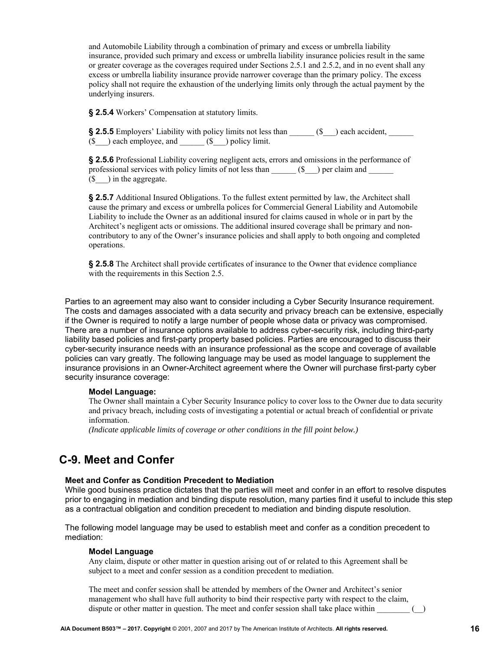and Automobile Liability through a combination of primary and excess or umbrella liability insurance, provided such primary and excess or umbrella liability insurance policies result in the same or greater coverage as the coverages required under Sections 2.5.1 and 2.5.2, and in no event shall any excess or umbrella liability insurance provide narrower coverage than the primary policy. The excess policy shall not require the exhaustion of the underlying limits only through the actual payment by the underlying insurers.

**§ 2.5.4** Workers' Compensation at statutory limits.

**§ 2.5.5** Employers' Liability with policy limits not less than \_\_\_\_\_\_ (\$\_\_\_) each accident, \_\_\_\_\_\_  $(\text{\$})$  each employee, and  $(\text{\$})$  policy limit.

**§ 2.5.6** Professional Liability covering negligent acts, errors and omissions in the performance of professional services with policy limits of not less than \_\_\_\_\_ (\$\_\_) per claim and \_\_\_\_\_\_  $(\text{\$})$  in the aggregate.

**§ 2.5.7** Additional Insured Obligations. To the fullest extent permitted by law, the Architect shall cause the primary and excess or umbrella polices for Commercial General Liability and Automobile Liability to include the Owner as an additional insured for claims caused in whole or in part by the Architect's negligent acts or omissions. The additional insured coverage shall be primary and noncontributory to any of the Owner's insurance policies and shall apply to both ongoing and completed operations.

**§ 2.5.8** The Architect shall provide certificates of insurance to the Owner that evidence compliance with the requirements in this Section 2.5.

Parties to an agreement may also want to consider including a Cyber Security Insurance requirement. The costs and damages associated with a data security and privacy breach can be extensive, especially if the Owner is required to notify a large number of people whose data or privacy was compromised. There are a number of insurance options available to address cyber-security risk, including third-party liability based policies and first-party property based policies. Parties are encouraged to discuss their cyber-security insurance needs with an insurance professional as the scope and coverage of available policies can vary greatly. The following language may be used as model language to supplement the insurance provisions in an Owner-Architect agreement where the Owner will purchase first-party cyber security insurance coverage:

#### **Model Language:**

The Owner shall maintain a Cyber Security Insurance policy to cover loss to the Owner due to data security and privacy breach, including costs of investigating a potential or actual breach of confidential or private information.

*(Indicate applicable limits of coverage or other conditions in the fill point below.)* 

### **C-9. Meet and Confer**

#### **Meet and Confer as Condition Precedent to Mediation**

While good business practice dictates that the parties will meet and confer in an effort to resolve disputes prior to engaging in mediation and binding dispute resolution, many parties find it useful to include this step as a contractual obligation and condition precedent to mediation and binding dispute resolution.

The following model language may be used to establish meet and confer as a condition precedent to mediation:

#### **Model Language**

Any claim, dispute or other matter in question arising out of or related to this Agreement shall be subject to a meet and confer session as a condition precedent to mediation.

The meet and confer session shall be attended by members of the Owner and Architect's senior management who shall have full authority to bind their respective party with respect to the claim, dispute or other matter in question. The meet and confer session shall take place within  $\sim$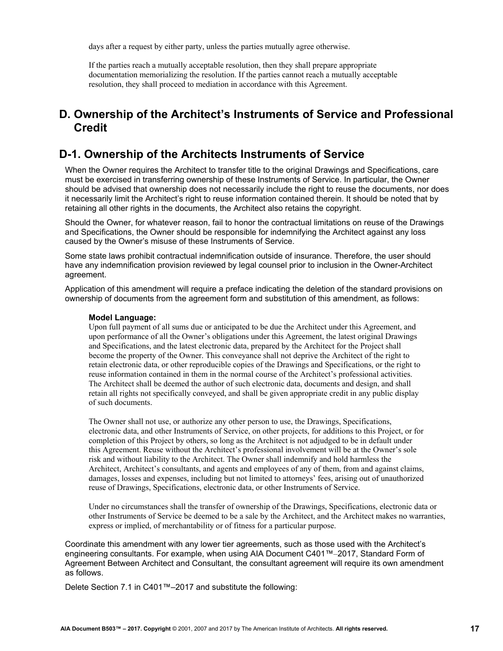<span id="page-16-0"></span>days after a request by either party, unless the parties mutually agree otherwise.

If the parties reach a mutually acceptable resolution, then they shall prepare appropriate documentation memorializing the resolution. If the parties cannot reach a mutually acceptable resolution, they shall proceed to mediation in accordance with this Agreement.

## **D. Ownership of the Architect's Instruments of Service and Professional Credit**

### **D-1. Ownership of the Architects Instruments of Service**

When the Owner requires the Architect to transfer title to the original Drawings and Specifications, care must be exercised in transferring ownership of these Instruments of Service. In particular, the Owner should be advised that ownership does not necessarily include the right to reuse the documents, nor does it necessarily limit the Architect's right to reuse information contained therein. It should be noted that by retaining all other rights in the documents, the Architect also retains the copyright.

Should the Owner, for whatever reason, fail to honor the contractual limitations on reuse of the Drawings and Specifications, the Owner should be responsible for indemnifying the Architect against any loss caused by the Owner's misuse of these Instruments of Service.

Some state laws prohibit contractual indemnification outside of insurance. Therefore, the user should have any indemnification provision reviewed by legal counsel prior to inclusion in the Owner-Architect agreement.

Application of this amendment will require a preface indicating the deletion of the standard provisions on ownership of documents from the agreement form and substitution of this amendment, as follows:

#### **Model Language:**

Upon full payment of all sums due or anticipated to be due the Architect under this Agreement, and upon performance of all the Owner's obligations under this Agreement, the latest original Drawings and Specifications, and the latest electronic data, prepared by the Architect for the Project shall become the property of the Owner. This conveyance shall not deprive the Architect of the right to retain electronic data, or other reproducible copies of the Drawings and Specifications, or the right to reuse information contained in them in the normal course of the Architect's professional activities. The Architect shall be deemed the author of such electronic data, documents and design, and shall retain all rights not specifically conveyed, and shall be given appropriate credit in any public display of such documents.

The Owner shall not use, or authorize any other person to use, the Drawings, Specifications, electronic data, and other Instruments of Service, on other projects, for additions to this Project, or for completion of this Project by others, so long as the Architect is not adjudged to be in default under this Agreement. Reuse without the Architect's professional involvement will be at the Owner's sole risk and without liability to the Architect. The Owner shall indemnify and hold harmless the Architect, Architect's consultants, and agents and employees of any of them, from and against claims, damages, losses and expenses, including but not limited to attorneys' fees, arising out of unauthorized reuse of Drawings, Specifications, electronic data, or other Instruments of Service.

Under no circumstances shall the transfer of ownership of the Drawings, Specifications, electronic data or other Instruments of Service be deemed to be a sale by the Architect, and the Architect makes no warranties, express or implied, of merchantability or of fitness for a particular purpose.

Coordinate this amendment with any lower tier agreements, such as those used with the Architect's engineering consultants. For example, when using AIA Document C401™–2017, Standard Form of Agreement Between Architect and Consultant, the consultant agreement will require its own amendment as follows.

Delete Section 7.1 in C401™–2017 and substitute the following: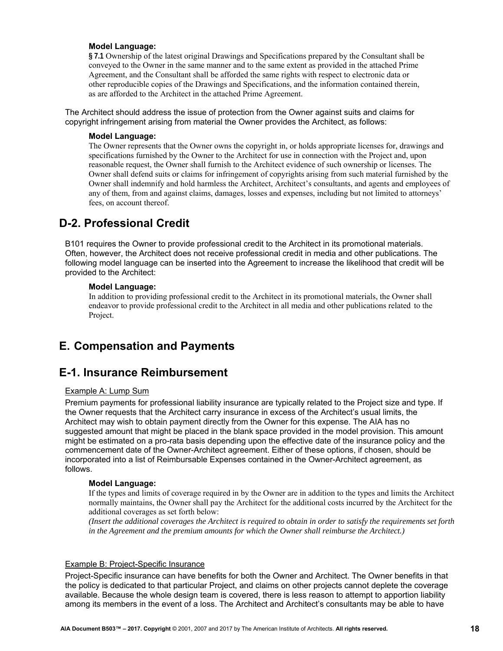<span id="page-17-0"></span>**§ 7.1** Ownership of the latest original Drawings and Specifications prepared by the Consultant shall be conveyed to the Owner in the same manner and to the same extent as provided in the attached Prime Agreement, and the Consultant shall be afforded the same rights with respect to electronic data or other reproducible copies of the Drawings and Specifications, and the information contained therein, as are afforded to the Architect in the attached Prime Agreement.

The Architect should address the issue of protection from the Owner against suits and claims for copyright infringement arising from material the Owner provides the Architect, as follows:

#### **Model Language:**

The Owner represents that the Owner owns the copyright in, or holds appropriate licenses for, drawings and specifications furnished by the Owner to the Architect for use in connection with the Project and, upon reasonable request, the Owner shall furnish to the Architect evidence of such ownership or licenses. The Owner shall defend suits or claims for infringement of copyrights arising from such material furnished by the Owner shall indemnify and hold harmless the Architect, Architect's consultants, and agents and employees of any of them, from and against claims, damages, losses and expenses, including but not limited to attorneys' fees, on account thereof.

### **D-2. Professional Credit**

B101 requires the Owner to provide professional credit to the Architect in its promotional materials. Often, however, the Architect does not receive professional credit in media and other publications. The following model language can be inserted into the Agreement to increase the likelihood that credit will be provided to the Architect:

#### **Model Language:**

In addition to providing professional credit to the Architect in its promotional materials, the Owner shall endeavor to provide professional credit to the Architect in all media and other publications related to the Project.

## **E. Compensation and Payments**

### **E-1. Insurance Reimbursement**

### Example A: Lump Sum

Premium payments for professional liability insurance are typically related to the Project size and type. If the Owner requests that the Architect carry insurance in excess of the Architect's usual limits, the Architect may wish to obtain payment directly from the Owner for this expense. The AIA has no suggested amount that might be placed in the blank space provided in the model provision. This amount might be estimated on a pro-rata basis depending upon the effective date of the insurance policy and the commencement date of the Owner-Architect agreement. Either of these options, if chosen, should be incorporated into a list of Reimbursable Expenses contained in the Owner-Architect agreement, as follows.

#### **Model Language:**

If the types and limits of coverage required in by the Owner are in addition to the types and limits the Architect normally maintains, the Owner shall pay the Architect for the additional costs incurred by the Architect for the additional coverages as set forth below:

*(Insert the additional coverages the Architect is required to obtain in order to satisfy the requirements set forth in the Agreement and the premium amounts for which the Owner shall reimburse the Architect.)* 

#### Example B: Project-Specific Insurance

Project-Specific insurance can have benefits for both the Owner and Architect. The Owner benefits in that the policy is dedicated to that particular Project, and claims on other projects cannot deplete the coverage available. Because the whole design team is covered, there is less reason to attempt to apportion liability among its members in the event of a loss. The Architect and Architect's consultants may be able to have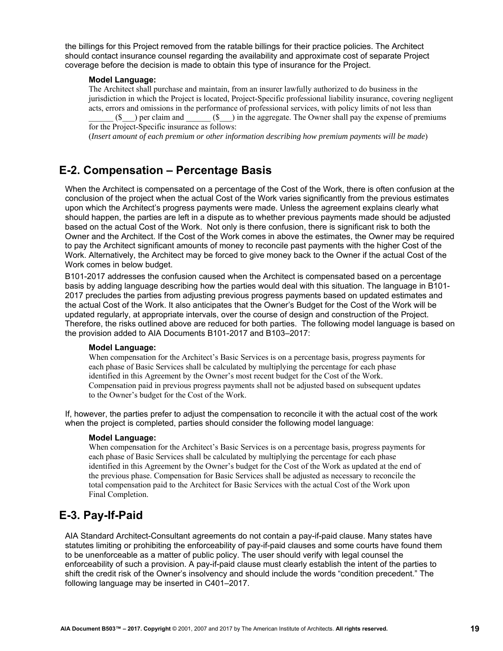the billings for this Project removed from the ratable billings for their practice policies. The Architect should contact insurance counsel regarding the availability and approximate cost of separate Project coverage before the decision is made to obtain this type of insurance for the Project.

#### **Model Language:**

The Architect shall purchase and maintain, from an insurer lawfully authorized to do business in the jurisdiction in which the Project is located, Project-Specific professional liability insurance, covering negligent acts, errors and omissions in the performance of professional services, with policy limits of not less than  $(\$$   $)$  per claim and  $(\$$   $)$  in the aggregate. The Owner shall pay the expense of premiums for the Project-Specific insurance as follows:

(*Insert amount of each premium or other information describing how premium payments will be made*)

### **E-2. Compensation – Percentage Basis**

When the Architect is compensated on a percentage of the Cost of the Work, there is often confusion at the conclusion of the project when the actual Cost of the Work varies significantly from the previous estimates upon which the Architect's progress payments were made. Unless the agreement explains clearly what should happen, the parties are left in a dispute as to whether previous payments made should be adjusted based on the actual Cost of the Work. Not only is there confusion, there is significant risk to both the Owner and the Architect. If the Cost of the Work comes in above the estimates, the Owner may be required to pay the Architect significant amounts of money to reconcile past payments with the higher Cost of the Work. Alternatively, the Architect may be forced to give money back to the Owner if the actual Cost of the Work comes in below budget.

B101-2017 addresses the confusion caused when the Architect is compensated based on a percentage basis by adding language describing how the parties would deal with this situation. The language in B101- 2017 precludes the parties from adjusting previous progress payments based on updated estimates and the actual Cost of the Work. It also anticipates that the Owner's Budget for the Cost of the Work will be updated regularly, at appropriate intervals, over the course of design and construction of the Project. Therefore, the risks outlined above are reduced for both parties. The following model language is based on the provision added to AIA Documents B101-2017 and B103–2017:

#### **Model Language:**

When compensation for the Architect's Basic Services is on a percentage basis, progress payments for each phase of Basic Services shall be calculated by multiplying the percentage for each phase identified in this Agreement by the Owner's most recent budget for the Cost of the Work. Compensation paid in previous progress payments shall not be adjusted based on subsequent updates to the Owner's budget for the Cost of the Work.

If, however, the parties prefer to adjust the compensation to reconcile it with the actual cost of the work when the project is completed, parties should consider the following model language:

#### **Model Language:**

When compensation for the Architect's Basic Services is on a percentage basis, progress payments for each phase of Basic Services shall be calculated by multiplying the percentage for each phase identified in this Agreement by the Owner's budget for the Cost of the Work as updated at the end of the previous phase. Compensation for Basic Services shall be adjusted as necessary to reconcile the total compensation paid to the Architect for Basic Services with the actual Cost of the Work upon Final Completion.

### **E-3. Pay-If-Paid**

AIA Standard Architect-Consultant agreements do not contain a pay-if-paid clause. Many states have statutes limiting or prohibiting the enforceability of pay-if-paid clauses and some courts have found them to be unenforceable as a matter of public policy. The user should verify with legal counsel the enforceability of such a provision. A pay-if-paid clause must clearly establish the intent of the parties to shift the credit risk of the Owner's insolvency and should include the words "condition precedent." The following language may be inserted in C401–2017.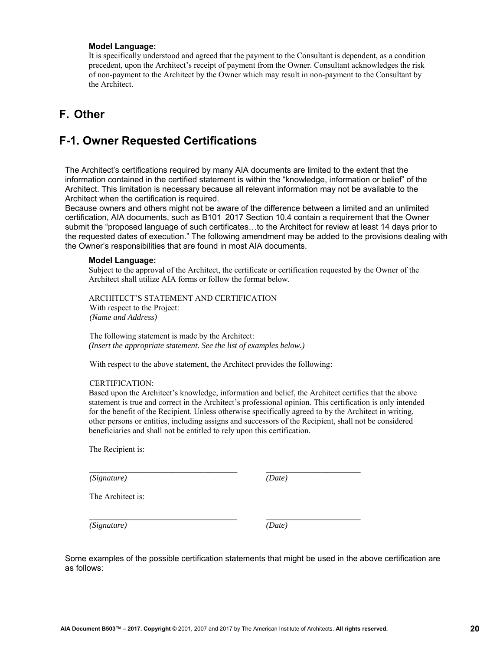<span id="page-19-0"></span>It is specifically understood and agreed that the payment to the Consultant is dependent, as a condition precedent, upon the Architect's receipt of payment from the Owner. Consultant acknowledges the risk of non-payment to the Architect by the Owner which may result in non-payment to the Consultant by the Architect.

# **F. Other**

# **F-1. Owner Requested Certifications**

The Architect's certifications required by many AIA documents are limited to the extent that the information contained in the certified statement is within the "knowledge, information or belief" of the Architect. This limitation is necessary because all relevant information may not be available to the Architect when the certification is required.

Because owners and others might not be aware of the difference between a limited and an unlimited certification, AIA documents, such as B101–2017 Section 10.4 contain a requirement that the Owner submit the "proposed language of such certificates…to the Architect for review at least 14 days prior to the requested dates of execution." The following amendment may be added to the provisions dealing with the Owner's responsibilities that are found in most AIA documents.

#### **Model Language:**

Subject to the approval of the Architect, the certificate or certification requested by the Owner of the Architect shall utilize AIA forms or follow the format below.

ARCHITECT'S STATEMENT AND CERTIFICATION With respect to the Project: *(Name and Address)*

The following statement is made by the Architect: *(Insert the appropriate statement. See the list of examples below.)* 

With respect to the above statement, the Architect provides the following:

#### CERTIFICATION:

Based upon the Architect's knowledge, information and belief, the Architect certifies that the above statement is true and correct in the Architect's professional opinion. This certification is only intended for the benefit of the Recipient. Unless otherwise specifically agreed to by the Architect in writing, other persons or entities, including assigns and successors of the Recipient, shall not be considered beneficiaries and shall not be entitled to rely upon this certification.

The Recipient is:

*(Signature) (Date)*

The Architect is:

*(Signature) (Date)*

Some examples of the possible certification statements that might be used in the above certification are as follows:

 $\_$  , and the set of the set of the set of the set of the set of the set of the set of the set of the set of the set of the set of the set of the set of the set of the set of the set of the set of the set of the set of th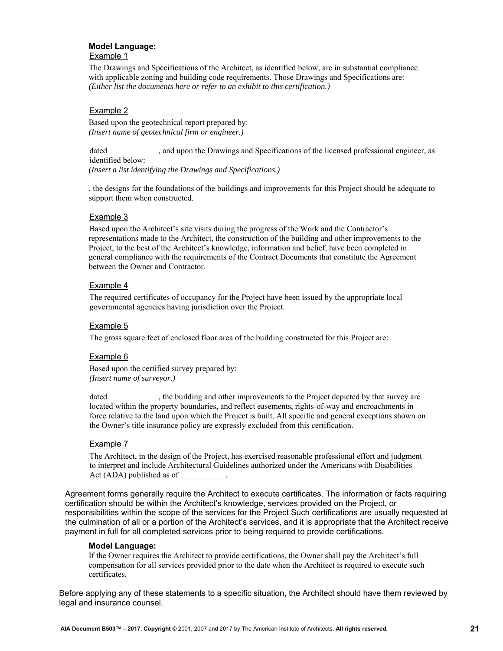#### **Model Language:**  Example 1

The Drawings and Specifications of the Architect, as identified below, are in substantial compliance with applicable zoning and building code requirements. Those Drawings and Specifications are: *(Either list the documents here or refer to an exhibit to this certification.)* 

### Example 2

Based upon the geotechnical report prepared by: *(Insert name of geotechnical firm or engineer.)* 

dated , and upon the Drawings and Specifications of the licensed professional engineer, as identified below:

*(Insert a list identifying the Drawings and Specifications.)* 

, the designs for the foundations of the buildings and improvements for this Project should be adequate to support them when constructed.

### Example 3

Based upon the Architect's site visits during the progress of the Work and the Contractor's representations made to the Architect, the construction of the building and other improvements to the Project, to the best of the Architect's knowledge, information and belief, have been completed in general compliance with the requirements of the Contract Documents that constitute the Agreement between the Owner and Contractor.

#### Example 4

The required certificates of occupancy for the Project have been issued by the appropriate local governmental agencies having jurisdiction over the Project.

#### Example 5

The gross square feet of enclosed floor area of the building constructed for this Project are:

#### Example 6

Based upon the certified survey prepared by: *(Insert name of surveyor.)* 

dated , the building and other improvements to the Project depicted by that survey are located within the property boundaries, and reflect easements, rights-of-way and encroachments in force relative to the land upon which the Project is built. All specific and general exceptions shown on the Owner's title insurance policy are expressly excluded from this certification.

#### Example 7

The Architect, in the design of the Project, has exercised reasonable professional effort and judgment to interpret and include Architectural Guidelines authorized under the Americans with Disabilities Act (ADA) published as of

Agreement forms generally require the Architect to execute certificates. The information or facts requiring certification should be within the Architect's knowledge, services provided on the Project, or responsibilities within the scope of the services for the Project Such certifications are usually requested at the culmination of all or a portion of the Architect's services, and it is appropriate that the Architect receive payment in full for all completed services prior to being required to provide certifications.

#### **Model Language:**

If the Owner requires the Architect to provide certifications, the Owner shall pay the Architect's full compensation for all services provided prior to the date when the Architect is required to execute such certificates.

Before applying any of these statements to a specific situation, the Architect should have them reviewed by legal and insurance counsel.